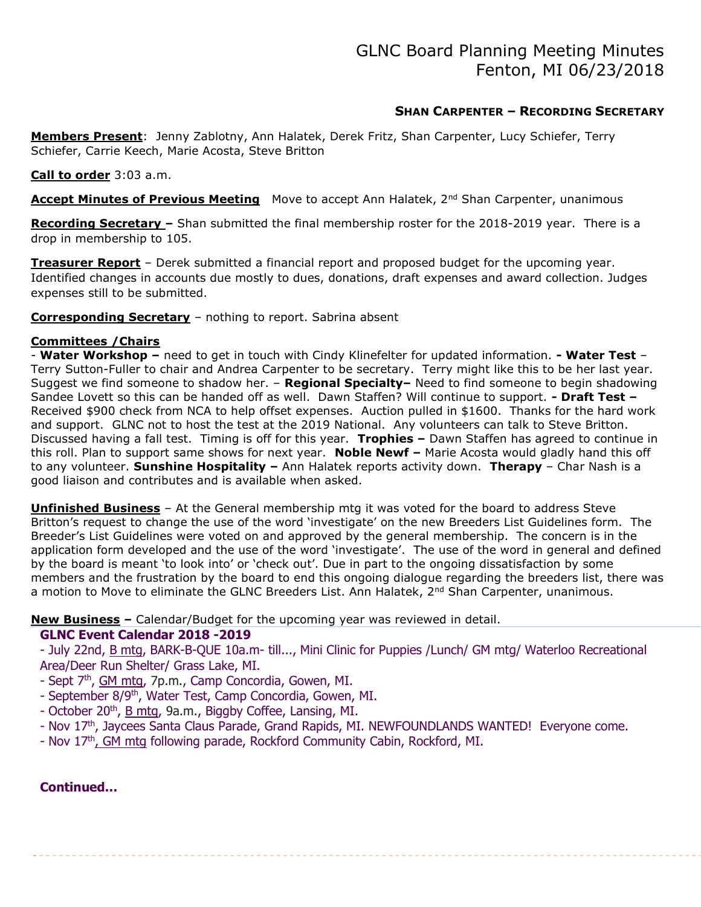# SHAN CARPENTER – RECORDING SECRETARY

Members Present: Jenny Zablotny, Ann Halatek, Derek Fritz, Shan Carpenter, Lucy Schiefer, Terry Schiefer, Carrie Keech, Marie Acosta, Steve Britton

### Call to order 3:03 a.m.

Accept Minutes of Previous Meeting Move to accept Ann Halatek, 2<sup>nd</sup> Shan Carpenter, unanimous

Recording Secretary – Shan submitted the final membership roster for the 2018-2019 year. There is a drop in membership to 105.

Treasurer Report - Derek submitted a financial report and proposed budget for the upcoming year. Identified changes in accounts due mostly to dues, donations, draft expenses and award collection. Judges expenses still to be submitted.

Corresponding Secretary – nothing to report. Sabrina absent

### Committees /Chairs

- Water Workshop - need to get in touch with Cindy Klinefelter for updated information. - Water Test -Terry Sutton-Fuller to chair and Andrea Carpenter to be secretary. Terry might like this to be her last year. Suggest we find someone to shadow her. – Regional Specialty– Need to find someone to begin shadowing Sandee Lovett so this can be handed off as well. Dawn Staffen? Will continue to support. - Draft Test -Received \$900 check from NCA to help offset expenses. Auction pulled in \$1600. Thanks for the hard work and support. GLNC not to host the test at the 2019 National. Any volunteers can talk to Steve Britton. Discussed having a fall test. Timing is off for this year. Trophies – Dawn Staffen has agreed to continue in this roll. Plan to support same shows for next year. Noble Newf - Marie Acosta would gladly hand this off to any volunteer. Sunshine Hospitality - Ann Halatek reports activity down. Therapy - Char Nash is a good liaison and contributes and is available when asked.

**Unfinished Business** – At the General membership mtg it was voted for the board to address Steve Britton's request to change the use of the word 'investigate' on the new Breeders List Guidelines form. The Breeder's List Guidelines were voted on and approved by the general membership. The concern is in the application form developed and the use of the word 'investigate'. The use of the word in general and defined by the board is meant 'to look into' or 'check out'. Due in part to the ongoing dissatisfaction by some members and the frustration by the board to end this ongoing dialogue regarding the breeders list, there was a motion to Move to eliminate the GLNC Breeders List. Ann Halatek, 2<sup>nd</sup> Shan Carpenter, unanimous.

New Business – Calendar/Budget for the upcoming year was reviewed in detail.

### GLNC Event Calendar 2018 -2019

- July 22nd, B mtg, BARK-B-QUE 10a.m- till..., Mini Clinic for Puppies /Lunch/ GM mtg/ Waterloo Recreational Area/Deer Run Shelter/ Grass Lake, MI.

- Sept 7<sup>th</sup>, GM mtg, 7p.m., Camp Concordia, Gowen, MI.
- September 8/9<sup>th</sup>, Water Test, Camp Concordia, Gowen, MI.
- October 20<sup>th</sup>, B mtg, 9a.m., Biggby Coffee, Lansing, MI.
- Nov 17<sup>th</sup>, Jaycees Santa Claus Parade, Grand Rapids, MI. NEWFOUNDLANDS WANTED! Everyone come.
- Nov 17<sup>th</sup>, GM mtg following parade, Rockford Community Cabin, Rockford, MI.

### Continued…